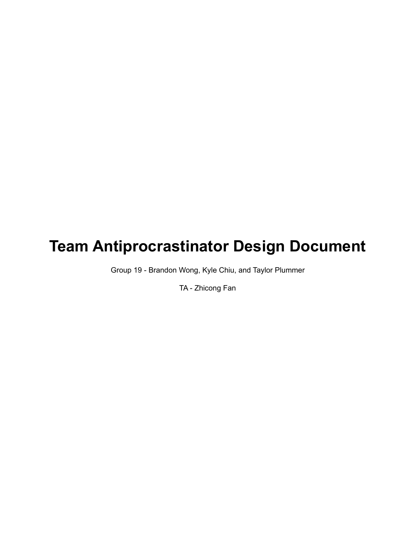# **Team Antiprocrastinator Design Document**

Group 19 - Brandon Wong, Kyle Chiu, and Taylor Plummer

TA - Zhicong Fan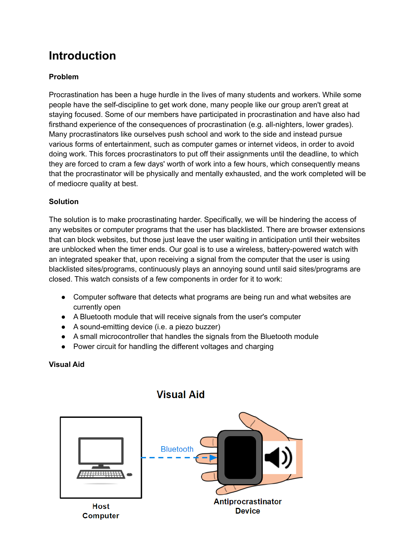## **Introduction**

#### **Problem**

Procrastination has been a huge hurdle in the lives of many students and workers. While some people have the self-discipline to get work done, many people like our group aren't great at staying focused. Some of our members have participated in procrastination and have also had firsthand experience of the consequences of procrastination (e.g. all-nighters, lower grades). Many procrastinators like ourselves push school and work to the side and instead pursue various forms of entertainment, such as computer games or internet videos, in order to avoid doing work. This forces procrastinators to put off their assignments until the deadline, to which they are forced to cram a few days' worth of work into a few hours, which consequently means that the procrastinator will be physically and mentally exhausted, and the work completed will be of mediocre quality at best.

#### **Solution**

The solution is to make procrastinating harder. Specifically, we will be hindering the access of any websites or computer programs that the user has blacklisted. There are browser extensions that can block websites, but those just leave the user waiting in anticipation until their websites are unblocked when the timer ends. Our goal is to use a wireless, battery-powered watch with an integrated speaker that, upon receiving a signal from the computer that the user is using blacklisted sites/programs, continuously plays an annoying sound until said sites/programs are closed. This watch consists of a few components in order for it to work:

- Computer software that detects what programs are being run and what websites are currently open
- A Bluetooth module that will receive signals from the user's computer
- A sound-emitting device (i.e. a piezo buzzer)
- A small microcontroller that handles the signals from the Bluetooth module
- Power circuit for handling the different voltages and charging

#### **Visual Aid**



### **Visual Aid**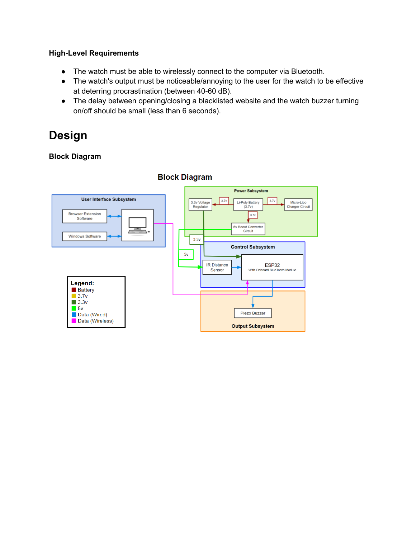#### **High-Level Requirements**

- The watch must be able to wirelessly connect to the computer via Bluetooth.
- The watch's output must be noticeable/annoying to the user for the watch to be effective at deterring procrastination (between 40-60 dB).
- The delay between opening/closing a blacklisted website and the watch buzzer turning on/off should be small (less than 6 seconds).

## **Design**

#### **Block Diagram**



#### **Block Diagram**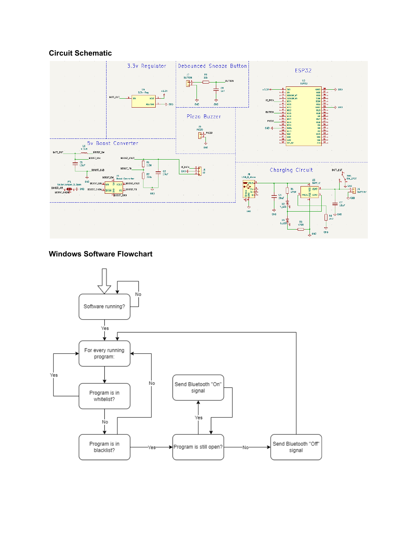#### **Circuit Schematic**



#### **Windows Software Flowchart**

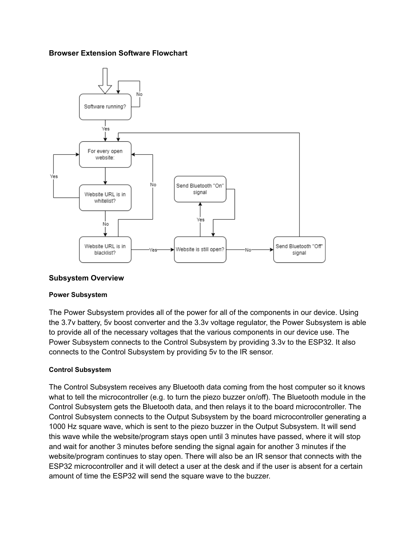#### **Browser Extension Software Flowchart**



#### **Subsystem Overview**

#### **Power Subsystem**

The Power Subsystem provides all of the power for all of the components in our device. Using the 3.7v battery, 5v boost converter and the 3.3v voltage regulator, the Power Subsystem is able to provide all of the necessary voltages that the various components in our device use. The Power Subsystem connects to the Control Subsystem by providing 3.3v to the ESP32. It also connects to the Control Subsystem by providing 5v to the IR sensor.

#### **Control Subsystem**

The Control Subsystem receives any Bluetooth data coming from the host computer so it knows what to tell the microcontroller (e.g. to turn the piezo buzzer on/off). The Bluetooth module in the Control Subsystem gets the Bluetooth data, and then relays it to the board microcontroller. The Control Subsystem connects to the Output Subsystem by the board microcontroller generating a 1000 Hz square wave, which is sent to the piezo buzzer in the Output Subsystem. It will send this wave while the website/program stays open until 3 minutes have passed, where it will stop and wait for another 3 minutes before sending the signal again for another 3 minutes if the website/program continues to stay open. There will also be an IR sensor that connects with the ESP32 microcontroller and it will detect a user at the desk and if the user is absent for a certain amount of time the ESP32 will send the square wave to the buzzer.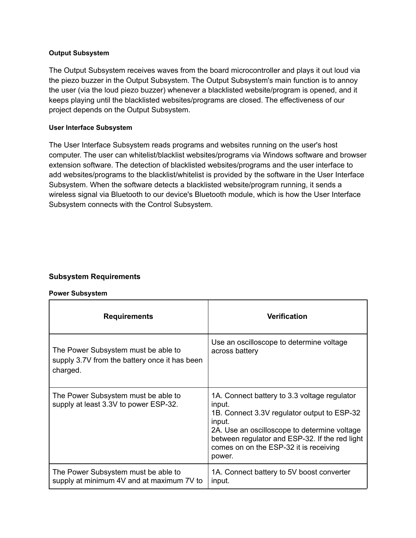#### **Output Subsystem**

The Output Subsystem receives waves from the board microcontroller and plays it out loud via the piezo buzzer in the Output Subsystem. The Output Subsystem's main function is to annoy the user (via the loud piezo buzzer) whenever a blacklisted website/program is opened, and it keeps playing until the blacklisted websites/programs are closed. The effectiveness of our project depends on the Output Subsystem.

#### **User Interface Subsystem**

The User Interface Subsystem reads programs and websites running on the user's host computer. The user can whitelist/blacklist websites/programs via Windows software and browser extension software. The detection of blacklisted websites/programs and the user interface to add websites/programs to the blacklist/whitelist is provided by the software in the User Interface Subsystem. When the software detects a blacklisted website/program running, it sends a wireless signal via Bluetooth to our device's Bluetooth module, which is how the User Interface Subsystem connects with the Control Subsystem.

#### **Subsystem Requirements**

#### **Power Subsystem**

| <b>Requirements</b>                                                                              | <b>Verification</b>                                                                                                                                                                                                                                                   |
|--------------------------------------------------------------------------------------------------|-----------------------------------------------------------------------------------------------------------------------------------------------------------------------------------------------------------------------------------------------------------------------|
| The Power Subsystem must be able to<br>supply 3.7V from the battery once it has been<br>charged. | Use an oscilloscope to determine voltage<br>across battery                                                                                                                                                                                                            |
| The Power Subsystem must be able to<br>supply at least 3.3V to power ESP-32.                     | 1A. Connect battery to 3.3 voltage regulator<br>input.<br>1B. Connect 3.3V regulator output to ESP-32<br>input.<br>2A. Use an oscilloscope to determine voltage<br>between regulator and ESP-32. If the red light<br>comes on on the ESP-32 it is receiving<br>power. |
| The Power Subsystem must be able to<br>supply at minimum 4V and at maximum 7V to                 | 1A. Connect battery to 5V boost converter<br>input.                                                                                                                                                                                                                   |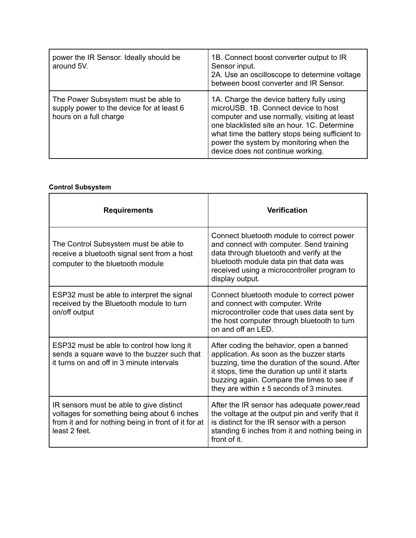| power the IR Sensor. Ideally should be<br>around 5V.                                                       | 1B. Connect boost converter output to IR<br>Sensor input.<br>2A. Use an oscilloscope to determine voltage<br>between boost converter and IR Sensor.                                                                                                                                                                 |
|------------------------------------------------------------------------------------------------------------|---------------------------------------------------------------------------------------------------------------------------------------------------------------------------------------------------------------------------------------------------------------------------------------------------------------------|
| The Power Subsystem must be able to<br>supply power to the device for at least 6<br>hours on a full charge | 1A. Charge the device battery fully using<br>microUSB. 1B. Connect device to host<br>computer and use normally, visiting at least<br>one blacklisted site an hour. 1C. Determine<br>what time the battery stops being sufficient to<br>power the system by monitoring when the<br>device does not continue working. |

#### **Control Subsystem**

| <b>Requirements</b>                                                                                                                                             | <b>Verification</b>                                                                                                                                                                                                                                                                      |
|-----------------------------------------------------------------------------------------------------------------------------------------------------------------|------------------------------------------------------------------------------------------------------------------------------------------------------------------------------------------------------------------------------------------------------------------------------------------|
| The Control Subsystem must be able to<br>receive a bluetooth signal sent from a host<br>computer to the bluetooth module                                        | Connect bluetooth module to correct power<br>and connect with computer. Send training<br>data through bluetooth and verify at the<br>bluetooth module data pin that data was<br>received using a microcontroller program to<br>display output.                                           |
| ESP32 must be able to interpret the signal<br>received by the Bluetooth module to turn<br>on/off output                                                         | Connect bluetooth module to correct power<br>and connect with computer. Write<br>microcontroller code that uses data sent by<br>the host computer through bluetooth to turn<br>on and off an LED.                                                                                        |
| ESP32 must be able to control how long it<br>sends a square wave to the buzzer such that<br>it turns on and off in 3 minute intervals                           | After coding the behavior, open a banned<br>application. As soon as the buzzer starts<br>buzzing, time the duration of the sound. After<br>it stops, time the duration up until it starts<br>buzzing again. Compare the times to see if<br>they are within $\pm$ 5 seconds of 3 minutes. |
| IR sensors must be able to give distinct<br>voltages for something being about 6 inches<br>from it and for nothing being in front of it for at<br>least 2 feet. | After the IR sensor has adequate power, read<br>the voltage at the output pin and verify that it<br>is distinct for the IR sensor with a person<br>standing 6 inches from it and nothing being in<br>front of it.                                                                        |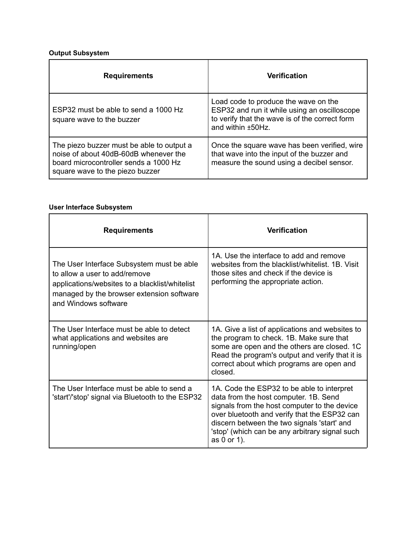### **Output Subsystem**

| <b>Requirements</b>                                                                                                                                            | <b>Verification</b>                                                                                                                                         |  |
|----------------------------------------------------------------------------------------------------------------------------------------------------------------|-------------------------------------------------------------------------------------------------------------------------------------------------------------|--|
| ESP32 must be able to send a 1000 Hz<br>square wave to the buzzer                                                                                              | Load code to produce the wave on the<br>ESP32 and run it while using an oscilloscope<br>to verify that the wave is of the correct form<br>and within ±50Hz. |  |
| The piezo buzzer must be able to output a<br>noise of about 40dB-60dB whenever the<br>board microcontroller sends a 1000 Hz<br>square wave to the piezo buzzer | Once the square wave has been verified, wire<br>that wave into the input of the buzzer and<br>measure the sound using a decibel sensor.                     |  |

#### **User Interface Subsystem**

| <b>Requirements</b>                                                                                                                                                                               | <b>Verification</b>                                                                                                                                                                                                                                                                                 |
|---------------------------------------------------------------------------------------------------------------------------------------------------------------------------------------------------|-----------------------------------------------------------------------------------------------------------------------------------------------------------------------------------------------------------------------------------------------------------------------------------------------------|
| The User Interface Subsystem must be able<br>to allow a user to add/remove<br>applications/websites to a blacklist/whitelist<br>managed by the browser extension software<br>and Windows software | 1A. Use the interface to add and remove<br>websites from the blacklist/whitelist, 1B. Visit<br>those sites and check if the device is<br>performing the appropriate action.                                                                                                                         |
| The User Interface must be able to detect<br>what applications and websites are<br>running/open                                                                                                   | 1A. Give a list of applications and websites to<br>the program to check. 1B. Make sure that<br>some are open and the others are closed. 1C<br>Read the program's output and verify that it is<br>correct about which programs are open and<br>closed.                                               |
| The User Interface must be able to send a<br>'start'/'stop' signal via Bluetooth to the ESP32                                                                                                     | 1A. Code the ESP32 to be able to interpret<br>data from the host computer. 1B. Send<br>signals from the host computer to the device<br>over bluetooth and verify that the ESP32 can<br>discern between the two signals 'start' and<br>'stop' (which can be any arbitrary signal such<br>as 0 or 1). |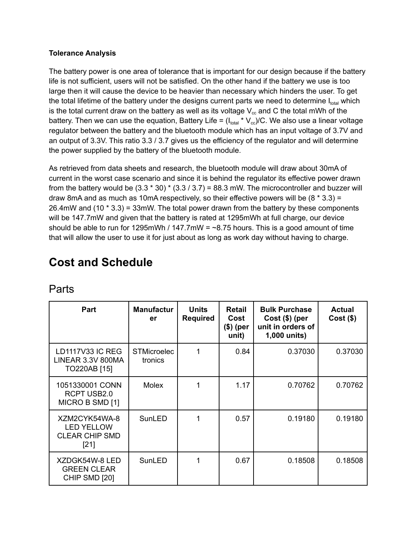#### **Tolerance Analysis**

The battery power is one area of tolerance that is important for our design because if the battery life is not sufficient, users will not be satisfied. On the other hand if the battery we use is too large then it will cause the device to be heavier than necessary which hinders the user. To get the total lifetime of the battery under the designs current parts we need to determine  $I_{total}$  which is the total current draw on the battery as well as its voltage  $V_{cc}$  and C the total mWh of the battery. Then we can use the equation, Battery Life =  $(I_{total} * V_{cc})/C$ . We also use a linear voltage regulator between the battery and the bluetooth module which has an input voltage of 3.7V and an output of 3.3V. This ratio 3.3 / 3.7 gives us the efficiency of the regulator and will determine the power supplied by the battery of the bluetooth module.

As retrieved from data sheets and research, the bluetooth module will draw about 30mA of current in the worst case scenario and since it is behind the regulator its effective power drawn from the battery would be  $(3.3 * 30) * (3.3 / 3.7) = 88.3$  mW. The microcontroller and buzzer will draw 8mA and as much as 10mA respectively, so their effective powers will be  $(8 * 3.3) =$ 26.4mW and (10 \* 3.3) = 33mW. The total power drawn from the battery by these components will be 147.7mW and given that the battery is rated at 1295mWh at full charge, our device should be able to run for 1295mWh / 147.7mW =  $\sim$ 8.75 hours. This is a good amount of time that will allow the user to use it for just about as long as work day without having to charge.

## **Cost and Schedule**

| Part                                                                  | <b>Manufactur</b><br>er       | <b>Units</b><br><b>Required</b> | <b>Retail</b><br>Cost<br>(\$) (per<br>unit) | <b>Bulk Purchase</b><br>$Cost( $)$ (per<br>unit in orders of<br>1,000 units) | <b>Actual</b><br>$Cost($ \$) |
|-----------------------------------------------------------------------|-------------------------------|---------------------------------|---------------------------------------------|------------------------------------------------------------------------------|------------------------------|
| <b>LD1117V33 IC REG</b><br><b>LINEAR 3.3V 800MA</b><br>TO220AB [15]   | <b>STMicroelec</b><br>tronics | 1                               | 0.84                                        | 0.37030                                                                      | 0.37030                      |
| 1051330001 CONN<br><b>RCPT USB2.0</b><br>MICRO B SMD [1]              | Molex                         | 1                               | 1.17                                        | 0.70762                                                                      | 0.70762                      |
| XZM2CYK54WA-8<br><b>LED YELLOW</b><br><b>CLEAR CHIP SMD</b><br>$[21]$ | SunLED                        |                                 | 0.57                                        | 0.19180                                                                      | 0.19180                      |
| XZDGK54W-8 LED<br><b>GREEN CLEAR</b><br>CHIP SMD [20]                 | SunLED                        |                                 | 0.67                                        | 0.18508                                                                      | 0.18508                      |

### Parts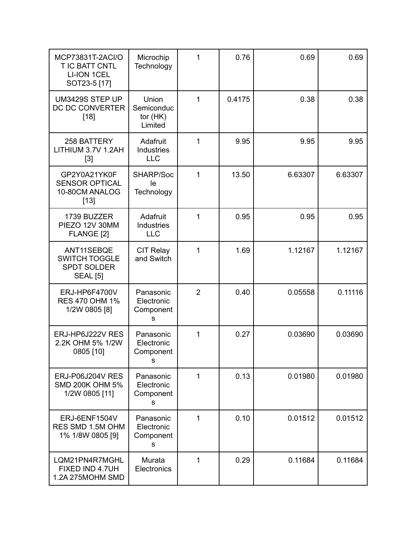| MCP73831T-2ACI/O<br>T IC BATT CNTL<br><b>LI-ION 1CEL</b><br>SOT23-5 [17]    | Microchip<br>Technology                               | 1              | 0.76   | 0.69    | 0.69    |
|-----------------------------------------------------------------------------|-------------------------------------------------------|----------------|--------|---------|---------|
| UM3429S STEP UP<br>DC DC CONVERTER<br>$[18]$                                | Union<br>Semiconduc<br>tor $(HK)$<br>Limited          | $\mathbf{1}$   | 0.4175 | 0.38    | 0.38    |
| 258 BATTERY<br>LITHIUM 3.7V 1.2AH<br>$[3]$                                  | Adafruit<br>Industries<br><b>LLC</b>                  | 1              | 9.95   | 9.95    | 9.95    |
| GP2Y0A21YK0F<br><b>SENSOR OPTICAL</b><br>10-80CM ANALOG<br>$[13]$           | SHARP/Soc<br>le<br>Technology                         | 1              | 13.50  | 6.63307 | 6.63307 |
| 1739 BUZZER<br>PIEZO 12V 30MM<br>FLANGE [2]                                 | Adafruit<br>Industries<br><b>LLC</b>                  | 1              | 0.95   | 0.95    | 0.95    |
| ANT11SEBQE<br><b>SWITCH TOGGLE</b><br><b>SPDT SOLDER</b><br><b>SEAL</b> [5] | <b>CIT Relay</b><br>and Switch                        | 1              | 1.69   | 1.12167 | 1.12167 |
| ERJ-HP6F4700V<br><b>RES 470 OHM 1%</b><br>1/2W 0805 [8]                     | Panasonic<br>Electronic<br>Component<br>${\mathbb S}$ | $\overline{2}$ | 0.40   | 0.05558 | 0.11116 |
| ERJ-HP6J222V RES<br>2.2K OHM 5% 1/2W<br>0805 [10]                           | Panasonic<br>Electronic<br>Component<br>s             | 1              | 0.27   | 0.03690 | 0.03690 |
| ERJ-P06J204V RES<br><b>SMD 200K OHM 5%</b><br>1/2W 0805 [11]                | Panasonic<br>Electronic<br>Component<br>s             | 1              | 0.13   | 0.01980 | 0.01980 |
| ERJ-6ENF1504V<br>RES SMD 1.5M OHM<br>1% 1/8W 0805 [9]                       | Panasonic<br>Electronic<br>Component<br>s             | 1              | 0.10   | 0.01512 | 0.01512 |
| LQM21PN4R7MGHL<br>FIXED IND 4.7UH<br>1.2A 275MOHM SMD                       | Murata<br>Electronics                                 | 1              | 0.29   | 0.11684 | 0.11684 |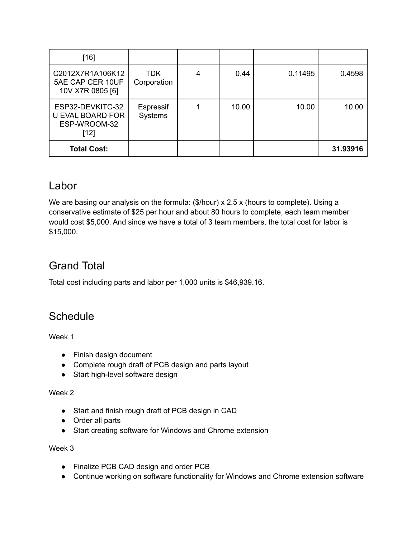| [16]                                                                  |                           |   |       |         |          |
|-----------------------------------------------------------------------|---------------------------|---|-------|---------|----------|
| C2012X7R1A106K12<br>5AE CAP CER 10UF<br>10V X7R 0805 [6]              | <b>TDK</b><br>Corporation | 4 | 0.44  | 0.11495 | 0.4598   |
| ESP32-DEVKITC-32<br><b>U EVAL BOARD FOR</b><br>ESP-WROOM-32<br>$[12]$ | Espressif<br>Systems      |   | 10.00 | 10.00   | 10.00    |
| <b>Total Cost:</b>                                                    |                           |   |       |         | 31.93916 |

### Labor

We are basing our analysis on the formula: (\$/hour) x 2.5 x (hours to complete). Using a conservative estimate of \$25 per hour and about 80 hours to complete, each team member would cost \$5,000. And since we have a total of 3 team members, the total cost for labor is \$15,000.

## Grand Total

Total cost including parts and labor per 1,000 units is \$46,939.16.

### **Schedule**

Week 1

- Finish design document
- Complete rough draft of PCB design and parts layout
- Start high-level software design

#### Week 2

- Start and finish rough draft of PCB design in CAD
- Order all parts
- Start creating software for Windows and Chrome extension

Week 3

- Finalize PCB CAD design and order PCB
- Continue working on software functionality for Windows and Chrome extension software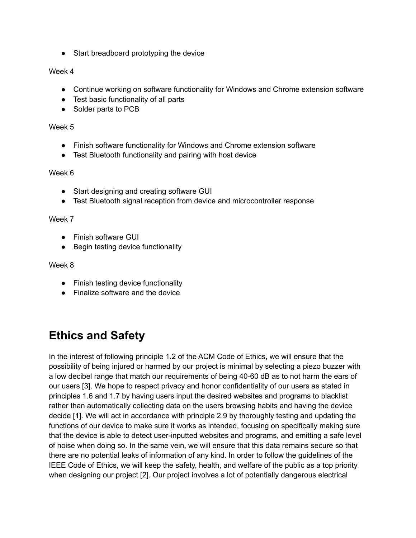● Start breadboard prototyping the device

#### Week 4

- Continue working on software functionality for Windows and Chrome extension software
- Test basic functionality of all parts
- Solder parts to PCB

#### Week 5

- Finish software functionality for Windows and Chrome extension software
- Test Bluetooth functionality and pairing with host device

#### Week 6

- Start designing and creating software GUI
- Test Bluetooth signal reception from device and microcontroller response

#### Week 7

- Finish software GUI
- Begin testing device functionality

#### Week 8

- Finish testing device functionality
- Finalize software and the device

## **Ethics and Safety**

In the interest of following principle 1.2 of the ACM Code of Ethics, we will ensure that the possibility of being injured or harmed by our project is minimal by selecting a piezo buzzer with a low decibel range that match our requirements of being 40-60 dB as to not harm the ears of our users [3]. We hope to respect privacy and honor confidentiality of our users as stated in principles 1.6 and 1.7 by having users input the desired websites and programs to blacklist rather than automatically collecting data on the users browsing habits and having the device decide [1]. We will act in accordance with principle 2.9 by thoroughly testing and updating the functions of our device to make sure it works as intended, focusing on specifically making sure that the device is able to detect user-inputted websites and programs, and emitting a safe level of noise when doing so. In the same vein, we will ensure that this data remains secure so that there are no potential leaks of information of any kind. In order to follow the guidelines of the IEEE Code of Ethics, we will keep the safety, health, and welfare of the public as a top priority when designing our project [2]. Our project involves a lot of potentially dangerous electrical